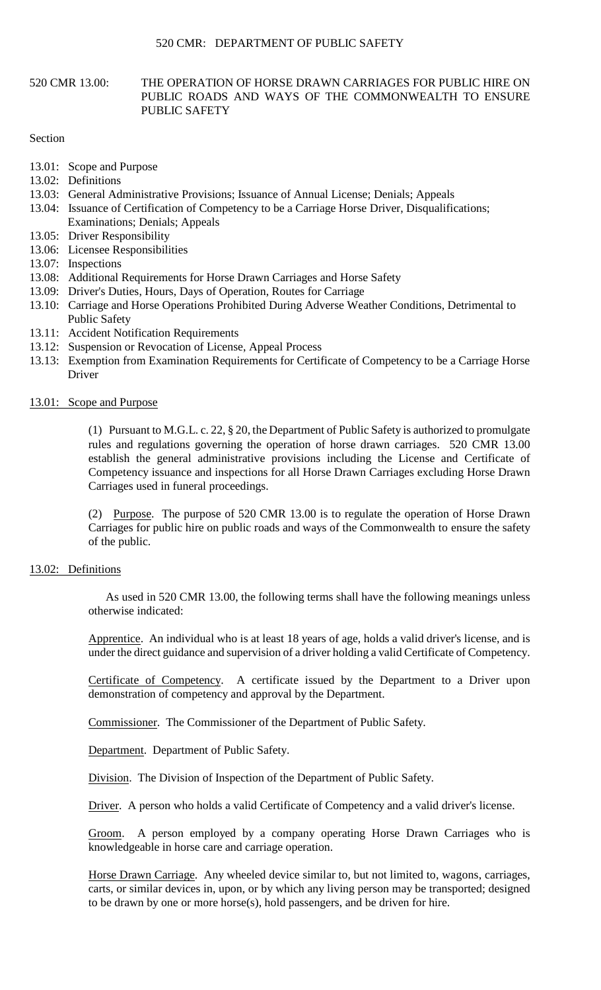### 520 CMR 13.00: THE OPERATION OF HORSE DRAWN CARRIAGES FOR PUBLIC HIRE ON PUBLIC ROADS AND WAYS OF THE COMMONWEALTH TO ENSURE PUBLIC SAFETY

### Section

- 13.01: Scope and Purpose
- 13.02: Definitions
- 13.03: General Administrative Provisions; Issuance of Annual License; Denials; Appeals
- 13.04: Issuance of Certification of Competency to be a Carriage Horse Driver, Disqualifications; Examinations; Denials; Appeals
- 13.05: Driver Responsibility
- 13.06: Licensee Responsibilities
- 13.07: Inspections
- 13.08: Additional Requirements for Horse Drawn Carriages and Horse Safety
- 13.09: Driver's Duties, Hours, Days of Operation, Routes for Carriage
- 13.10: Carriage and Horse Operations Prohibited During Adverse Weather Conditions, Detrimental to Public Safety
- 13.11: Accident Notification Requirements
- 13.12: Suspension or Revocation of License, Appeal Process
- 13.13: Exemption from Examination Requirements for Certificate of Competency to be a Carriage Horse Driver

13.01: Scope and Purpose

(1) Pursuant to M.G.L. c. 22, § 20, the Department of Public Safety is authorized to promulgate rules and regulations governing the operation of horse drawn carriages. 520 CMR 13.00 establish the general administrative provisions including the License and Certificate of Competency issuance and inspections for all Horse Drawn Carriages excluding Horse Drawn Carriages used in funeral proceedings.

(2) Purpose. The purpose of 520 CMR 13.00 is to regulate the operation of Horse Drawn Carriages for public hire on public roads and ways of the Commonwealth to ensure the safety of the public.

# 13.02: Definitions

 As used in 520 CMR 13.00, the following terms shall have the following meanings unless otherwise indicated:

Apprentice. An individual who is at least 18 years of age, holds a valid driver's license, and is under the direct guidance and supervision of a driver holding a valid Certificate of Competency.

 Certificate of Competency. A certificate issued by the Department to a Driver upon demonstration of competency and approval by the Department.

Commissioner. The Commissioner of the Department of Public Safety.

Department. Department of Public Safety.

Division. The Division of Inspection of the Department of Public Safety.

Driver. A person who holds a valid Certificate of Competency and a valid driver's license.

Groom. A person employed by a company operating Horse Drawn Carriages who is knowledgeable in horse care and carriage operation.

Horse Drawn Carriage. Any wheeled device similar to, but not limited to, wagons, carriages, carts, or similar devices in, upon, or by which any living person may be transported; designed to be drawn by one or more horse(s), hold passengers, and be driven for hire.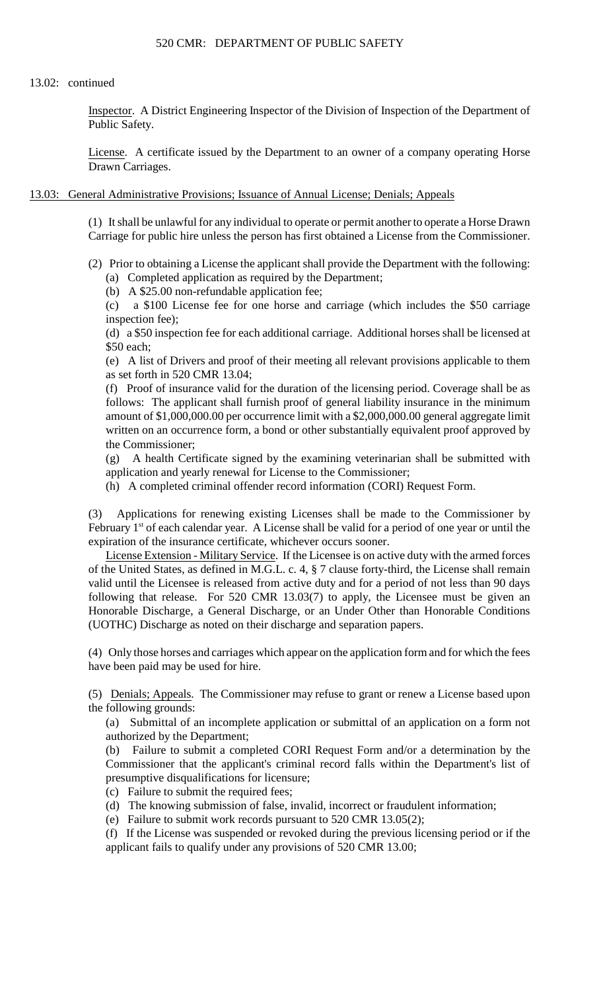#### 13.02: continued

Inspector. A District Engineering Inspector of the Division of Inspection of the Department of Public Safety.

License. A certificate issued by the Department to an owner of a company operating Horse Drawn Carriages.

### 13.03: General Administrative Provisions; Issuance of Annual License; Denials; Appeals

(1) It shall be unlawful for any individual to operate or permit another to operate a Horse Drawn Carriage for public hire unless the person has first obtained a License from the Commissioner.

- (2) Prior to obtaining a License the applicant shall provide the Department with the following: (a) Completed application as required by the Department;
	- (b) A \$25.00 non-refundable application fee;

(c) a \$100 License fee for one horse and carriage (which includes the \$50 carriage inspection fee);

(d) a \$50 inspection fee for each additional carriage. Additional horses shall be licensed at \$50 each;

(e) A list of Drivers and proof of their meeting all relevant provisions applicable to them as set forth in 520 CMR 13.04;

(f) Proof of insurance valid for the duration of the licensing period. Coverage shall be as follows: The applicant shall furnish proof of general liability insurance in the minimum amount of \$1,000,000.00 per occurrence limit with a \$2,000,000.00 general aggregate limit written on an occurrence form, a bond or other substantially equivalent proof approved by the Commissioner;

 (g) A health Certificate signed by the examining veterinarian shall be submitted with application and yearly renewal for License to the Commissioner;

(h) A completed criminal offender record information (CORI) Request Form.

 $(3)$ (3) Applications for renewing existing Licenses shall be made to the Commissioner by February  $1<sup>st</sup>$  of each calendar year. A License shall be valid for a period of one year or until the expiration of the insurance certificate, whichever occurs sooner.

 of the United States, as defined in M.G.L. c. 4, § 7 clause forty-third, the License shall remain valid until the Licensee is released from active duty and for a period of not less than 90 days License Extension - Military Service. If the Licensee is on active duty with the armed forces following that release. For 520 CMR 13.03(7) to apply, the Licensee must be given an Honorable Discharge, a General Discharge, or an Under Other than Honorable Conditions (UOTHC) Discharge as noted on their discharge and separation papers.

(4) Only those horses and carriages which appear on the application form and for which the fees have been paid may be used for hire.

(5) Denials; Appeals. The Commissioner may refuse to grant or renew a License based upon the following grounds:

 (a) Submittal of an incomplete application or submittal of an application on a form not authorized by the Department;

(b) Failure to submit a completed CORI Request Form and/or a determination by the Commissioner that the applicant's criminal record falls within the Department's list of presumptive disqualifications for licensure;

- (c) Failure to submit the required fees;
- (d) The knowing submission of false, invalid, incorrect or fraudulent information;
- (e) Failure to submit work records pursuant to 520 CMR 13.05(2);

(f) If the License was suspended or revoked during the previous licensing period or if the applicant fails to qualify under any provisions of 520 CMR 13.00;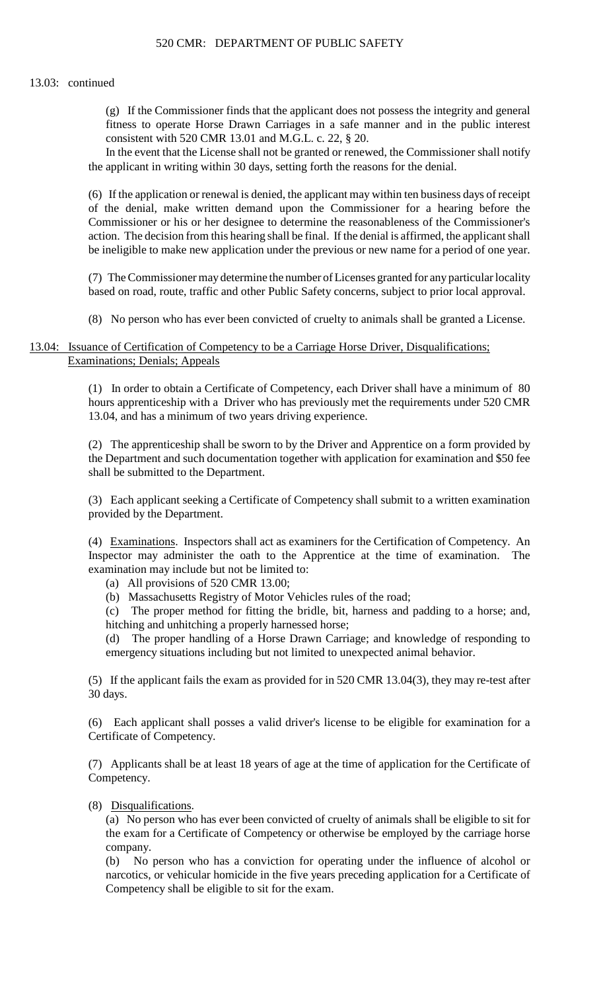### 13.03: continued

 (g) If the Commissioner finds that the applicant does not possess the integrity and general fitness to operate Horse Drawn Carriages in a safe manner and in the public interest consistent with 520 CMR 13.01 and M.G.L. c. 22, § 20.

In the event that the License shall not be granted or renewed, the Commissioner shall notify the applicant in writing within 30 days, setting forth the reasons for the denial.

(6) If the application or renewal is denied, the applicant may within ten business days of receipt of the denial, make written demand upon the Commissioner for a hearing before the Commissioner or his or her designee to determine the reasonableness of the Commissioner's action. The decision from this hearing shall be final. If the denial is affirmed, the applicant shall be ineligible to make new application under the previous or new name for a period of one year.

 (7) The Commissioner may determine the number of Licenses granted for any particular locality based on road, route, traffic and other Public Safety concerns, subject to prior local approval.

(8) No person who has ever been convicted of cruelty to animals shall be granted a License.

# 13.04: Issuance of Certification of Competency to be a Carriage Horse Driver, Disqualifications; Examinations; Denials; Appeals

 hours apprenticeship with a Driver who has previously met the requirements under 520 CMR (1) In order to obtain a Certificate of Competency, each Driver shall have a minimum of 80 13.04, and has a minimum of two years driving experience.

(2) The apprenticeship shall be sworn to by the Driver and Apprentice on a form provided by the Department and such documentation together with application for examination and \$50 fee shall be submitted to the Department.

(3) Each applicant seeking a Certificate of Competency shall submit to a written examination provided by the Department.

(4) Examinations. Inspectors shall act as examiners for the Certification of Competency. An Inspector may administer the oath to the Apprentice at the time of examination. The examination may include but not be limited to:

(a) All provisions of 520 CMR 13.00;

(b) Massachusetts Registry of Motor Vehicles rules of the road;

(c) The proper method for fitting the bridle, bit, harness and padding to a horse; and, hitching and unhitching a properly harnessed horse;

(d) The proper handling of a Horse Drawn Carriage; and knowledge of responding to emergency situations including but not limited to unexpected animal behavior.

 (5) If the applicant fails the exam as provided for in 520 CMR 13.04(3), they may re-test after 30 days.

(6) Each applicant shall posses a valid driver's license to be eligible for examination for a Certificate of Competency.

(7) Applicants shall be at least 18 years of age at the time of application for the Certificate of Competency.

# (8) Disqualifications.

 (a) No person who has ever been convicted of cruelty of animals shall be eligible to sit for the exam for a Certificate of Competency or otherwise be employed by the carriage horse company.

(b) No person who has a conviction for operating under the influence of alcohol or narcotics, or vehicular homicide in the five years preceding application for a Certificate of Competency shall be eligible to sit for the exam.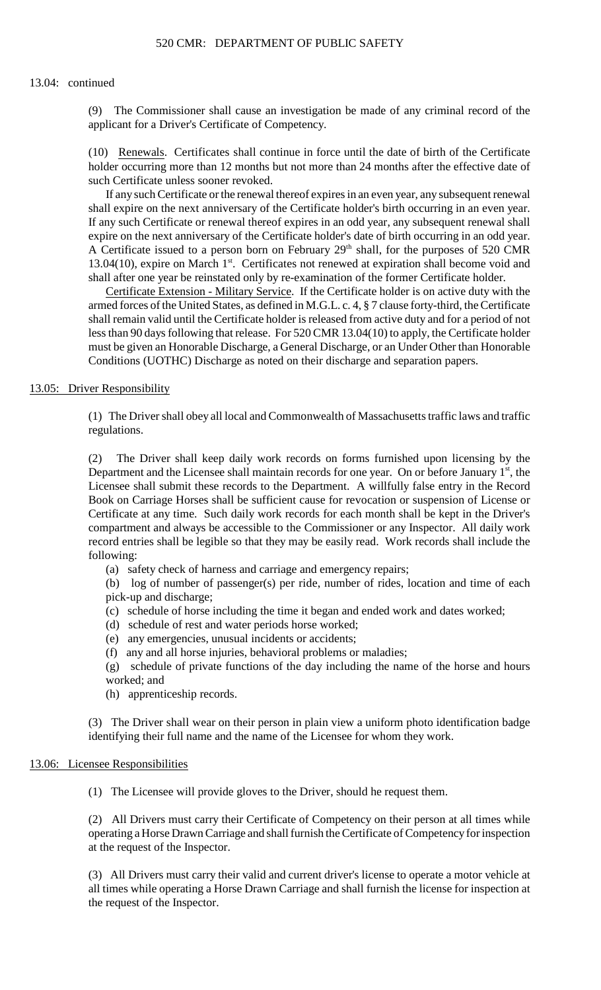### 13.04: continued

(9) The Commissioner shall cause an investigation be made of any criminal record of the applicant for a Driver's Certificate of Competency.

(10) Renewals. Certificates shall continue in force until the date of birth of the Certificate holder occurring more than 12 months but not more than 24 months after the effective date of such Certificate unless sooner revoked.

A Certificate issued to a person born on February 29<sup>th</sup> shall, for the purposes of 520 CMR If any such Certificate or the renewal thereof expires in an even year, any subsequent renewal shall expire on the next anniversary of the Certificate holder's birth occurring in an even year. If any such Certificate or renewal thereof expires in an odd year, any subsequent renewal shall expire on the next anniversary of the Certificate holder's date of birth occurring in an odd year. 13.04(10), expire on March 1<sup>st</sup>. Certificates not renewed at expiration shall become void and shall after one year be reinstated only by re-examination of the former Certificate holder.

 must be given an Honorable Discharge, a General Discharge, or an Under Other than Honorable Certificate Extension - Military Service. If the Certificate holder is on active duty with the armed forces of the United States, as defined in M.G.L. c. 4, § 7 clause forty-third, the Certificate shall remain valid until the Certificate holder is released from active duty and for a period of not less than 90 days following that release. For 520 CMR 13.04(10) to apply, the Certificate holder Conditions (UOTHC) Discharge as noted on their discharge and separation papers.

#### 13.05: Driver Responsibility

(1) The Driver shall obey all local and Commonwealth of Massachusetts traffic laws and traffic regulations.

(2) The Driver shall keep daily work records on forms furnished upon licensing by the Department and the Licensee shall maintain records for one year. On or before January  $1<sup>st</sup>$ , the Licensee shall submit these records to the Department. A willfully false entry in the Record Book on Carriage Horses shall be sufficient cause for revocation or suspension of License or Certificate at any time. Such daily work records for each month shall be kept in the Driver's compartment and always be accessible to the Commissioner or any Inspector. All daily work record entries shall be legible so that they may be easily read. Work records shall include the following:

(a) safety check of harness and carriage and emergency repairs;

(b) log of number of passenger(s) per ride, number of rides, location and time of each pick-up and discharge;

- (c) schedule of horse including the time it began and ended work and dates worked;
- (d) schedule of rest and water periods horse worked;
- (e) any emergencies, unusual incidents or accidents;
- (f) any and all horse injuries, behavioral problems or maladies;

(g) schedule of private functions of the day including the name of the horse and hours worked; and

(h) apprenticeship records.

 (3) The Driver shall wear on their person in plain view a uniform photo identification badge identifying their full name and the name of the Licensee for whom they work.

#### 13.06: Licensee Responsibilities

(1) The Licensee will provide gloves to the Driver, should he request them.

(2) All Drivers must carry their Certificate of Competency on their person at all times while operating a Horse Drawn Carriage and shall furnish the Certificate of Competency for inspection at the request of the Inspector.

(3) All Drivers must carry their valid and current driver's license to operate a motor vehicle at all times while operating a Horse Drawn Carriage and shall furnish the license for inspection at the request of the Inspector.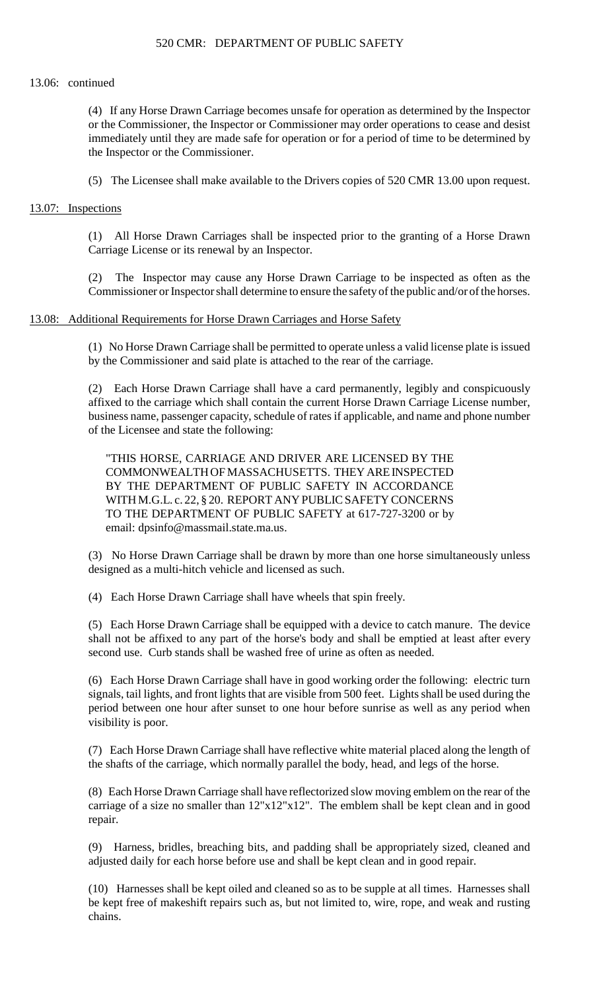### 520 CMR: DEPARTMENT OF PUBLIC SAFETY

#### 13.06: continued

 (4) If any Horse Drawn Carriage becomes unsafe for operation as determined by the Inspector or the Commissioner, the Inspector or Commissioner may order operations to cease and desist immediately until they are made safe for operation or for a period of time to be determined by the Inspector or the Commissioner.

(5) The Licensee shall make available to the Drivers copies of 520 CMR 13.00 upon request.

### 13.07: Inspections

(1) All Horse Drawn Carriages shall be inspected prior to the granting of a Horse Drawn Carriage License or its renewal by an Inspector.

 Commissioner or Inspector shall determine to ensure the safety of the public and/or of the horses. (2) The Inspector may cause any Horse Drawn Carriage to be inspected as often as the

### 13.08: Additional Requirements for Horse Drawn Carriages and Horse Safety

(1) No Horse Drawn Carriage shall be permitted to operate unless a valid license plate is issued by the Commissioner and said plate is attached to the rear of the carriage.

(2) Each Horse Drawn Carriage shall have a card permanently, legibly and conspicuously affixed to the carriage which shall contain the current Horse Drawn Carriage License number, business name, passenger capacity, schedule of rates if applicable, and name and phone number of the Licensee and state the following:

"THIS HORSE, CARRIAGE AND DRIVER ARE LICENSED BY THE COMMONWEALTH OF MASSACHUSETTS. THEY ARE INSPECTED BY THE DEPARTMENT OF PUBLIC SAFETY IN ACCORDANCE WITH M.G.L. c. 22, § 20. REPORT ANY PUBLIC SAFETY CONCERNS TO THE DEPARTMENT OF PUBLIC SAFETY at 617-727-3200 or by email: dpsinfo@massmail.state.ma.us.

(3) No Horse Drawn Carriage shall be drawn by more than one horse simultaneously unless designed as a multi-hitch vehicle and licensed as such.

(4) Each Horse Drawn Carriage shall have wheels that spin freely.

(5) Each Horse Drawn Carriage shall be equipped with a device to catch manure. The device shall not be affixed to any part of the horse's body and shall be emptied at least after every second use. Curb stands shall be washed free of urine as often as needed.

 (6) Each Horse Drawn Carriage shall have in good working order the following: electric turn signals, tail lights, and front lights that are visible from 500 feet. Lights shall be used during the period between one hour after sunset to one hour before sunrise as well as any period when visibility is poor.

(7) Each Horse Drawn Carriage shall have reflective white material placed along the length of the shafts of the carriage, which normally parallel the body, head, and legs of the horse.

carriage of a size no smaller than  $12"x12"x12"$ . The emblem shall be kept clean and in good (8) Each Horse Drawn Carriage shall have reflectorized slow moving emblem on the rear of the repair.

(9) Harness, bridles, breaching bits, and padding shall be appropriately sized, cleaned and adjusted daily for each horse before use and shall be kept clean and in good repair.

 (10) Harnesses shall be kept oiled and cleaned so as to be supple at all times. Harnesses shall be kept free of makeshift repairs such as, but not limited to, wire, rope, and weak and rusting chains.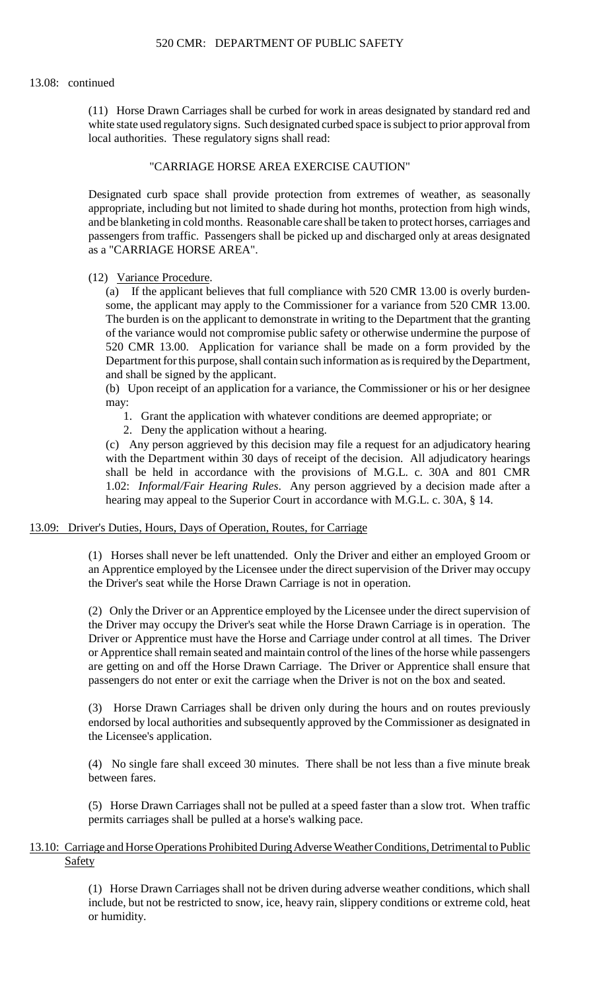### 13.08: continued

(11) Horse Drawn Carriages shall be curbed for work in areas designated by standard red and white state used regulatory signs. Such designated curbed space is subject to prior approval from local authorities. These regulatory signs shall read:

# "CARRIAGE HORSE AREA EXERCISE CAUTION"

 appropriate, including but not limited to shade during hot months, protection from high winds, Designated curb space shall provide protection from extremes of weather, as seasonally and be blanketing in cold months. Reasonable care shall be taken to protect horses, carriages and passengers from traffic. Passengers shall be picked up and discharged only at areas designated as a "CARRIAGE HORSE AREA".

(12) Variance Procedure.

(a) If the applicant believes that full compliance with 520 CMR 13.00 is overly burdensome, the applicant may apply to the Commissioner for a variance from 520 CMR 13.00. The burden is on the applicant to demonstrate in writing to the Department that the granting of the variance would not compromise public safety or otherwise undermine the purpose of 520 CMR 13.00. Application for variance shall be made on a form provided by the Department for this purpose, shall contain such information as is required by the Department, and shall be signed by the applicant.

(b) Upon receipt of an application for a variance, the Commissioner or his or her designee may:

- 1. Grant the application with whatever conditions are deemed appropriate; or
- 2. Deny the application without a hearing.

 shall be held in accordance with the provisions of M.G.L. c. 30A and 801 CMR (c) Any person aggrieved by this decision may file a request for an adjudicatory hearing with the Department within 30 days of receipt of the decision. All adjudicatory hearings 1.02: *Informal/Fair Hearing Rules*. Any person aggrieved by a decision made after a hearing may appeal to the Superior Court in accordance with M.G.L. c. 30A, § 14.

#### 13.09: Driver's Duties, Hours, Days of Operation, Routes, for Carriage

(1) Horses shall never be left unattended. Only the Driver and either an employed Groom or an Apprentice employed by the Licensee under the direct supervision of the Driver may occupy the Driver's seat while the Horse Drawn Carriage is not in operation.

(2) Only the Driver or an Apprentice employed by the Licensee under the direct supervision of the Driver may occupy the Driver's seat while the Horse Drawn Carriage is in operation. The Driver or Apprentice must have the Horse and Carriage under control at all times. The Driver or Apprentice shall remain seated and maintain control of the lines of the horse while passengers are getting on and off the Horse Drawn Carriage. The Driver or Apprentice shall ensure that passengers do not enter or exit the carriage when the Driver is not on the box and seated.

(3) Horse Drawn Carriages shall be driven only during the hours and on routes previously endorsed by local authorities and subsequently approved by the Commissioner as designated in the Licensee's application.

(4) No single fare shall exceed 30 minutes. There shall be not less than a five minute break between fares.

(5) Horse Drawn Carriages shall not be pulled at a speed faster than a slow trot. When traffic permits carriages shall be pulled at a horse's walking pace.

# 13.10: Carriage and Horse Operations Prohibited During Adverse Weather Conditions, Detrimental to Public Safety

 (1) Horse Drawn Carriages shall not be driven during adverse weather conditions, which shall include, but not be restricted to snow, ice, heavy rain, slippery conditions or extreme cold, heat or humidity.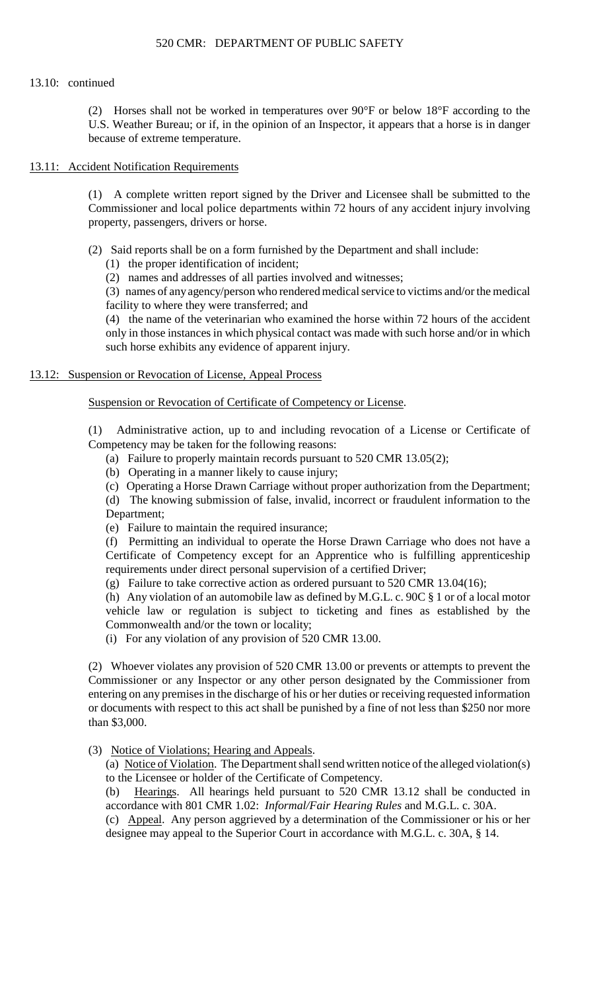# 520 CMR: DEPARTMENT OF PUBLIC SAFETY

# 13.10: continued

(2) Horses shall not be worked in temperatures over 90°F or below 18°F according to the U.S. Weather Bureau; or if, in the opinion of an Inspector, it appears that a horse is in danger because of extreme temperature.

# 13.11: Accident Notification Requirements

(1) A complete written report signed by the Driver and Licensee shall be submitted to the Commissioner and local police departments within 72 hours of any accident injury involving property, passengers, drivers or horse.

- (2) Said reports shall be on a form furnished by the Department and shall include:
	- (1) the proper identification of incident;
	- (2) names and addresses of all parties involved and witnesses;

(3) names of anyagency/person who rendered medical service to victims and/or the medical facility to where they were transferred; and

(4) the name of the veterinarian who examined the horse within 72 hours of the accident only in those instances in which physical contact was made with such horse and/or in which such horse exhibits any evidence of apparent injury.

# 13.12: Suspension or Revocation of License, Appeal Process

Suspension or Revocation of Certificate of Competency or License.

(1) Administrative action, up to and including revocation of a License or Certificate of Competency may be taken for the following reasons:

- (a) Failure to properly maintain records pursuant to 520 CMR 13.05(2);
- (b) Operating in a manner likely to cause injury;
- (c) Operating a Horse Drawn Carriage without proper authorization from the Department;

(d) The knowing submission of false, invalid, incorrect or fraudulent information to the Department;

(e) Failure to maintain the required insurance;

(f) Permitting an individual to operate the Horse Drawn Carriage who does not have a Certificate of Competency except for an Apprentice who is fulfilling apprenticeship requirements under direct personal supervision of a certified Driver;

(g) Failure to take corrective action as ordered pursuant to 520 CMR 13.04(16);

(h) Any violation of an automobile law as defined by M.G.L. c. 90C  $\S$  1 or of a local motor vehicle law or regulation is subject to ticketing and fines as established by the Commonwealth and/or the town or locality;

(i) For any violation of any provision of 520 CMR 13.00.

 (2) Whoever violates any provision of 520 CMR 13.00 or prevents or attempts to prevent the Commissioner or any Inspector or any other person designated by the Commissioner from entering on any premises in the discharge of his or her duties or receiving requested information or documents with respect to this act shall be punished by a fine of not less than \$250 nor more than \$3,000.

# (3) Notice of Violations; Hearing and Appeals.

(a) Notice of Violation. The Department shall send written notice of the alleged violation(s) to the Licensee or holder of the Certificate of Competency.

(b) Hearings. All hearings held pursuant to 520 CMR 13.12 shall be conducted in accordance with 801 CMR 1.02: *Informal/Fair Hearing Rules* and M.G.L. c. 30A.

 (c) Appeal. Any person aggrieved by a determination of the Commissioner or his or her designee may appeal to the Superior Court in accordance with M.G.L. c. 30A, § 14.